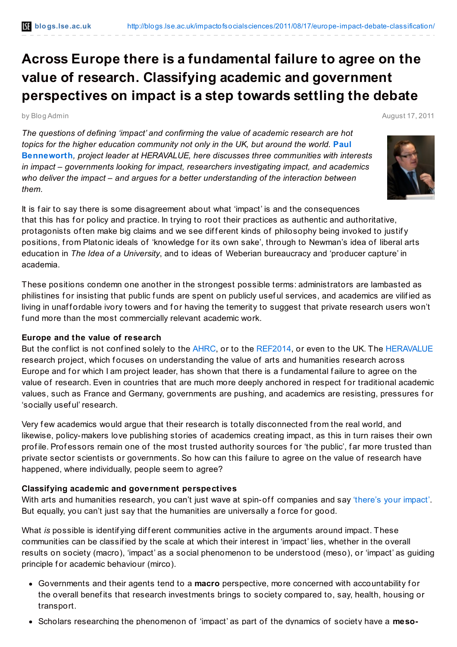# **Across Europe there is a fundamental failure to agree on the value of research. Classifying academic and government perspectives on impact is a step towards settling the debate**

by Blog Admin August 17, 2011

*The questions of defining 'impact' and confirming the value of academic research are hot topics for the higher education community not only in the UK, but around the world.* **Paul [Benneworth](http://blogs.lse.ac.uk/impactofsocialsciences/blog-contributors/#Paul_Benneworth)***, project leader at HERAVALUE, here discusses three communities with interests in impact – governments looking for impact, researchers investigating impact, and academics who deliver the impact – and argues for a better understanding of the interaction between them.*



It is f air to say there is some disagreement about what 'impact' is and the consequences that this has for policy and practice. In trying to root their practices as authentic and authoritative, protagonists of ten make big claims and we see different kinds of philosophy being invoked to justify positions, from Platonic ideals of 'knowledge f or its own sake', through to Newman's idea of liberal arts education in *The Idea of a University*, and to ideas of Weberian bureaucracy and 'producer capture' in academia.

These positions condemn one another in the strongest possible terms: administrators are lambasted as philistines for insisting that public funds are spent on publicly useful services, and academics are vilified as living in unaffordable ivory towers and for having the temerity to suggest that private research users won't fund more than the most commercially relevant academic work.

#### **Europe and the value of research**

But the conflict is not confined solely to the [AHRC,](http://www.ahrc.ac.uk/) or to the [REF2014](http://www.hefce.ac.uk/research/ref/), or even to the UK. The [HERAVALUE](http://www.heranet.info/heravalue/index) research project, which focuses on understanding the value of arts and humanities research across Europe and for which I am project leader, has shown that there is a fundamental failure to agree on the value of research. Even in countries that are much more deeply anchored in respect for traditional academic values, such as France and Germany, governments are pushing, and academics are resisting, pressures f or 'socially usef ul' research.

Very few academics would argue that their research is totally disconnected from the real world, and likewise, policy-makers love publishing stories of academics creating impact, as this in turn raises their own profile. Professors remain one of the most trusted authority sources for 'the public', far more trusted than private sector scientists or governments. So how can this f ailure to agree on the value of research have happened, where individually, people seem to agree?

# **Classifying academic and government perspectives**

With arts and humanities research, you can't just wave at spin-off companies and say ['there's](http://www.lcace.org.uk/publications/2009/inside-out-festival-professor-geoffrey-crossick-transcript-knowledge-futures.html?no_cache=1&cid=347&did=311&sechash=7c22863d) your impact'. But equally, you can't just say that the humanities are universally a force for good.

What *is* possible is identifying different communities active in the arguments around impact. These communities can be classif ied by the scale at which their interest in 'impact' lies, whether in the overall results on society (macro), 'impact' as a social phenomenon to be understood (meso), or 'impact' as guiding principle for academic behaviour (mirco).

- Governments and their agents tend to a **macro** perspective, more concerned with accountability f or the overall benef its that research investments brings to society compared to, say, health, housing or transport.
- Scholars researching the phenomenon of 'impact' as part of the dynamics of society have a **meso-**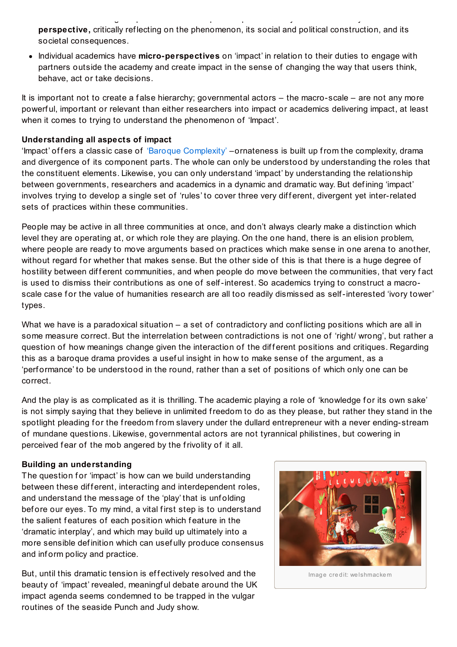Scholars researching the phenomenon of 'impact' as part of the dynamics of society have a **mesoperspective,** critically ref lecting on the phenomenon, its social and political construction, and its societal consequences.

Individual academics have **micro-perspectives** on 'impact' in relation to their duties to engage with partners outside the academy and create impact in the sense of changing the way that users think, behave, act or take decisions.

It is important not to create a f alse hierarchy; governmental actors – the macro-scale – are not any more powerf ul, important or relevant than either researchers into impact or academics delivering impact, at least when it comes to trying to understand the phenomenon of 'Impact'.

## **Understanding all aspects of impact**

'Impact' of fers a classic case of 'Baroque [Complexity'](http://www.lancs.ac.uk/fass/sociology/papers/law-and-if-the-global-were-small.pdf) –ornateness is built up from the complexity, drama and divergence of its component parts. The whole can only be understood by understanding the roles that the constituent elements. Likewise, you can only understand 'impact' by understanding the relationship between governments, researchers and academics in a dynamic and dramatic way. But def ining 'impact' involves trying to develop a single set of 'rules' to cover three very different, divergent yet inter-related sets of practices within these communities.

People may be active in all three communities at once, and don't always clearly make a distinction which level they are operating at, or which role they are playing. On the one hand, there is an elision problem, where people are ready to move arguments based on practices which make sense in one arena to another, without regard for whether that makes sense. But the other side of this is that there is a huge degree of hostility between different communities, and when people do move between the communities, that very fact is used to dismiss their contributions as one of self-interest. So academics trying to construct a macroscale case for the value of humanities research are all too readily dismissed as self-interested 'ivory tower' types.

What we have is a paradoxical situation – a set of contradictory and conflicting positions which are all in some measure correct. But the interrelation between contradictions is not one of 'right/ wrong', but rather a question of how meanings change given the interaction of the different positions and critiques. Regarding this as a baroque drama provides a useful insight in how to make sense of the argument, as a 'perf ormance' to be understood in the round, rather than a set of positions of which only one can be correct.

And the play is as complicated as it is thrilling. The academic playing a role of 'knowledge for its own sake' is not simply saying that they believe in unlimited freedom to do as they please, but rather they stand in the spotlight pleading for the freedom from slavery under the dullard entrepreneur with a never ending-stream of mundane questions. Likewise, governmental actors are not tyrannical philistines, but cowering in perceived fear of the mob angered by the frivolity of it all.

#### **Building an understanding**

The question for 'impact' is how can we build understanding between these different, interacting and interdependent roles, and understand the message of the 'play' that is unf olding bef ore our eyes. To my mind, a vital f irst step is to understand the salient features of each position which feature in the 'dramatic interplay', and which may build up ultimately into a more sensible def inition which can usef ully produce consensus and inf orm policy and practice.

But, until this dramatic tension is effectively resolved and the beauty of 'impact' revealed, meaningf ul debate around the UK impact agenda seems condemned to be trapped in the vulgar routines of the seaside Punch and Judy show.



Image credit: welshmackem